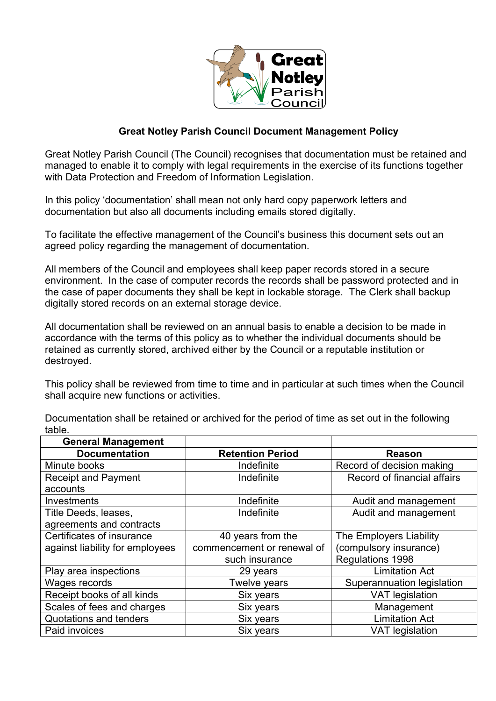

## **Great Notley Parish Council Document Management Policy**

Great Notley Parish Council (The Council) recognises that documentation must be retained and managed to enable it to comply with legal requirements in the exercise of its functions together with Data Protection and Freedom of Information Legislation.

In this policy 'documentation' shall mean not only hard copy paperwork letters and documentation but also all documents including emails stored digitally.

To facilitate the effective management of the Council's business this document sets out an agreed policy regarding the management of documentation.

All members of the Council and employees shall keep paper records stored in a secure environment. In the case of computer records the records shall be password protected and in the case of paper documents they shall be kept in lockable storage. The Clerk shall backup digitally stored records on an external storage device.

All documentation shall be reviewed on an annual basis to enable a decision to be made in accordance with the terms of this policy as to whether the individual documents should be retained as currently stored, archived either by the Council or a reputable institution or destroyed.

This policy shall be reviewed from time to time and in particular at such times when the Council shall acquire new functions or activities.

| <b>General Management</b>       |                            |                             |
|---------------------------------|----------------------------|-----------------------------|
| <b>Documentation</b>            | <b>Retention Period</b>    | <b>Reason</b>               |
| Minute books                    | Indefinite                 | Record of decision making   |
| <b>Receipt and Payment</b>      | Indefinite                 | Record of financial affairs |
| accounts                        |                            |                             |
| Investments                     | Indefinite                 | Audit and management        |
| Title Deeds, leases,            | Indefinite                 | Audit and management        |
| agreements and contracts        |                            |                             |
| Certificates of insurance       | 40 years from the          | The Employers Liability     |
| against liability for employees | commencement or renewal of | (compulsory insurance)      |
|                                 | such insurance             | Regulations 1998            |
| Play area inspections           | 29 years                   | <b>Limitation Act</b>       |
| Wages records                   | Twelve years               | Superannuation legislation  |
| Receipt books of all kinds      | Six years                  | <b>VAT legislation</b>      |
| Scales of fees and charges      | Six years                  | Management                  |
| Quotations and tenders          | Six years                  | <b>Limitation Act</b>       |
| Paid invoices                   | Six years                  | <b>VAT legislation</b>      |

Documentation shall be retained or archived for the period of time as set out in the following table.